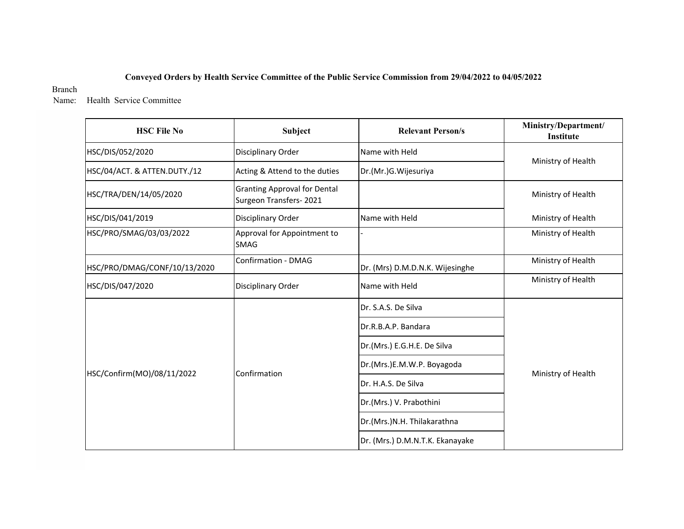## **Conveyed Orders by Health Service Committee of the Public Service Commission from 29/04/2022 to 04/05/2022**

## Branch

Name: Health Service Committee

| <b>HSC File No</b>           | Subject                                                       | <b>Relevant Person/s</b>        | Ministry/Department/<br>Institute |  |
|------------------------------|---------------------------------------------------------------|---------------------------------|-----------------------------------|--|
| HSC/DIS/052/2020             | Disciplinary Order                                            | Name with Held                  |                                   |  |
| HSC/04/ACT. & ATTEN.DUTY./12 | Acting & Attend to the duties                                 | Dr.(Mr.)G. Wijesuriya           | Ministry of Health                |  |
| HSC/TRA/DEN/14/05/2020       | <b>Granting Approval for Dental</b><br>Surgeon Transfers-2021 |                                 | Ministry of Health                |  |
| HSC/DIS/041/2019             | Disciplinary Order                                            | Name with Held                  | Ministry of Health                |  |
| HSC/PRO/SMAG/03/03/2022      | Approval for Appointment to<br><b>SMAG</b>                    |                                 | Ministry of Health                |  |
| HSC/PRO/DMAG/CONF/10/13/2020 | Confirmation - DMAG                                           | Dr. (Mrs) D.M.D.N.K. Wijesinghe | Ministry of Health                |  |
| HSC/DIS/047/2020             | Disciplinary Order                                            | Name with Held                  | Ministry of Health                |  |
|                              |                                                               | Dr. S.A.S. De Silva             |                                   |  |
|                              |                                                               | Dr.R.B.A.P. Bandara             |                                   |  |
|                              |                                                               | Dr.(Mrs.) E.G.H.E. De Silva     |                                   |  |
|                              |                                                               | Dr.(Mrs.)E.M.W.P. Boyagoda      |                                   |  |
| HSC/Confirm(MO)/08/11/2022   | Confirmation                                                  | Dr. H.A.S. De Silva             | Ministry of Health                |  |
|                              |                                                               | Dr.(Mrs.) V. Prabothini         |                                   |  |
|                              |                                                               | Dr.(Mrs.)N.H. Thilakarathna     |                                   |  |
|                              |                                                               | Dr. (Mrs.) D.M.N.T.K. Ekanayake |                                   |  |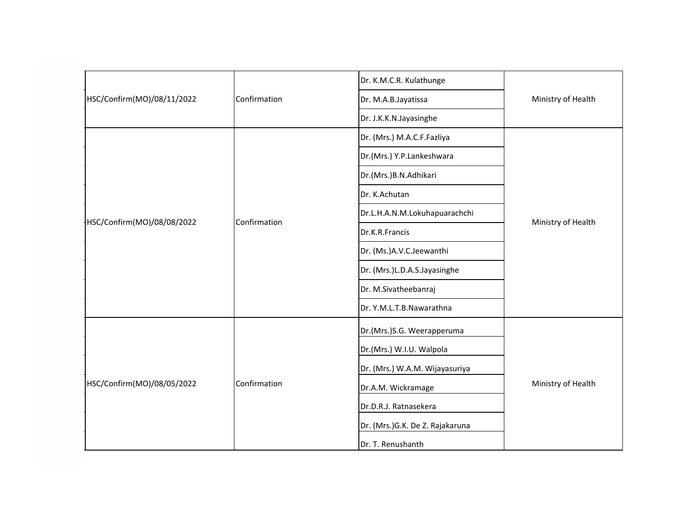| HSC/Confirm(MO)/08/11/2022 |              | Dr. K.M.C.R. Kulathunge         | Ministry of Health |
|----------------------------|--------------|---------------------------------|--------------------|
|                            | Confirmation | Dr. M.A.B.Jayatissa             |                    |
|                            |              | Dr. J.K.K.N.Jayasinghe          |                    |
| HSC/Confirm(MO)/08/08/2022 |              | Dr. (Mrs.) M.A.C.F.Fazliya      | Ministry of Health |
|                            |              | Dr.(Mrs.) Y.P.Lankeshwara       |                    |
|                            |              | Dr.(Mrs.)B.N.Adhikari           |                    |
|                            |              | Dr. K.Achutan                   |                    |
|                            | Confirmation | Dr.L.H.A.N.M.Lokuhapuarachchi   |                    |
|                            |              | Dr.K.R.Francis                  |                    |
|                            |              | Dr. (Ms.)A.V.C.Jeewanthi        |                    |
|                            |              | Dr. (Mrs.)L.D.A.S.Jayasinghe    |                    |
|                            |              | Dr. M.Sivatheebanraj            |                    |
|                            |              | Dr. Y.M.L.T.B.Nawarathna        |                    |
|                            |              | Dr.(Mrs.)S.G. Weerapperuma      | Ministry of Health |
|                            |              | Dr.(Mrs.) W.I.U. Walpola        |                    |
|                            |              | Dr. (Mrs.) W.A.M. Wijayasuriya  |                    |
| HSC/Confirm(MO)/08/05/2022 | Confirmation | Dr.A.M. Wickramage              |                    |
|                            |              | Dr.D.R.J. Ratnasekera           |                    |
|                            |              | Dr. (Mrs.)G.K. De Z. Rajakaruna |                    |
|                            |              | Dr. T. Renushanth               |                    |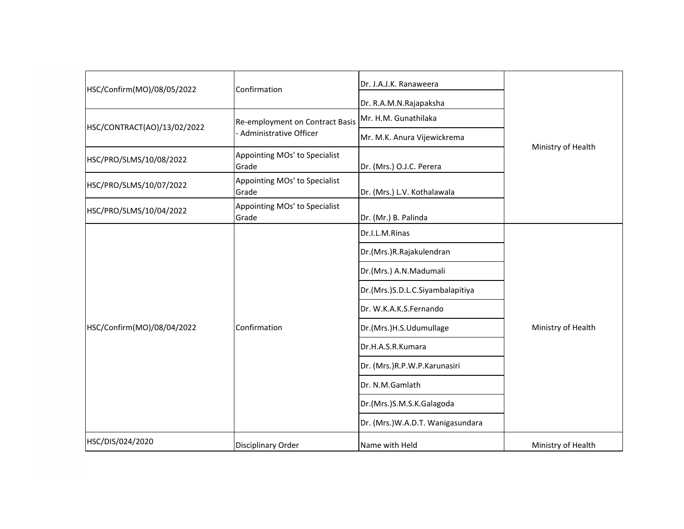| Confirmation                           | Dr. J.A.J.K. Ranaweera           |                    |
|----------------------------------------|----------------------------------|--------------------|
|                                        | Dr. R.A.M.N.Rajapaksha           |                    |
| Re-employment on Contract Basis        | Mr. H.M. Gunathilaka             |                    |
| - Administrative Officer               | Mr. M.K. Anura Vijewickrema      |                    |
| Appointing MOs' to Specialist<br>Grade | Dr. (Mrs.) O.J.C. Perera         | Ministry of Health |
| Appointing MOs' to Specialist<br>Grade | Dr. (Mrs.) L.V. Kothalawala      |                    |
| Appointing MOs' to Specialist<br>Grade | Dr. (Mr.) B. Palinda             |                    |
|                                        | Dr.I.L.M.Rinas                   |                    |
| Confirmation                           | Dr.(Mrs.)R.Rajakulendran         | Ministry of Health |
|                                        | Dr.(Mrs.) A.N.Madumali           |                    |
|                                        | Dr.(Mrs.)S.D.L.C.Siyambalapitiya |                    |
|                                        | Dr. W.K.A.K.S.Fernando           |                    |
|                                        | Dr.(Mrs.)H.S.Udumullage          |                    |
|                                        | Dr.H.A.S.R.Kumara                |                    |
|                                        | Dr. (Mrs.)R.P.W.P.Karunasiri     |                    |
|                                        | Dr. N.M.Gamlath                  |                    |
|                                        | Dr.(Mrs.)S.M.S.K.Galagoda        |                    |
|                                        | Dr. (Mrs.)W.A.D.T. Wanigasundara |                    |
| <b>Disciplinary Order</b>              | Name with Held                   | Ministry of Health |
|                                        |                                  |                    |